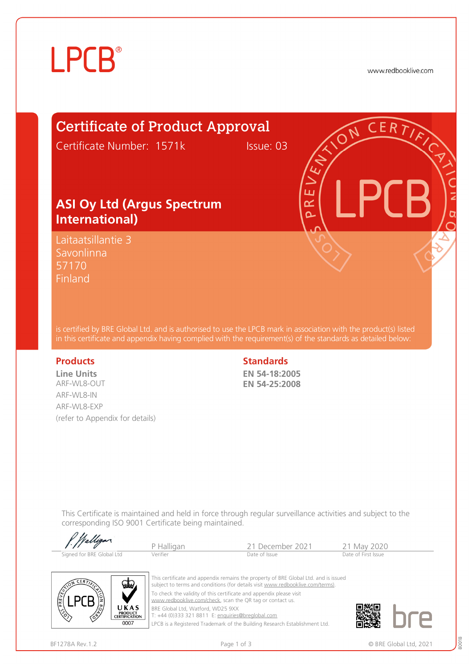# **LPCB**®

www.redbooklive.com

## Certificate of Product Approval

Certificate Number: 1571k Issue: 03

ய œ Ò

### **ASI Oy Ltd (Argus Spectrum International)**

Laitaatsillantie 3 Savonlinna 57170 **Finland** 

is certified by BRE Global Ltd. and is authorised to use the LPCB mark in association with the product(s) listed in this certificate and appendix having complied with the requirement(s) of the standards as detailed below:

**Line Units**  ARF-WL8-OUT ARF-WL8-IN ARF-WL8-EXP (refer to Appendix for details)

#### **Products** Standards **Standards**

**EN 54-18:2005 EN 54-25:2008** 

This Certificate is maintained and held in force through regular surveillance activities and subject to the corresponding ISO 9001 Certificate being maintained.

| $1.$ //alligar            | Halligan | <sup>21</sup> December 2021 | `1 Mav 2020         |
|---------------------------|----------|-----------------------------|---------------------|
| Signed for BRE Global Ltd | /erifier | Date of Issue               | Date of First Issue |



 $0111$ 

This certificate and appendix remains the property of BRE Global Ltd. and is issued subject to terms and conditions (for details visit [www.redbooklive.com/terms\)](http://www.redbooklive.com/terms)). To check the validity of this certificate and appendix please visit [www.redbooklive.com/check,](http://www.redbooklive.com/check) scan the QR tag or contact us. BRE Global Ltd, Watford, WD25 9XX

T: +44 (0)333 321 8811 E: [enquiries@breglobal.com](mailto:enquiries@breglobal.com)

LPCB is a Registered Trademark of the Building Research Establishment Ltd.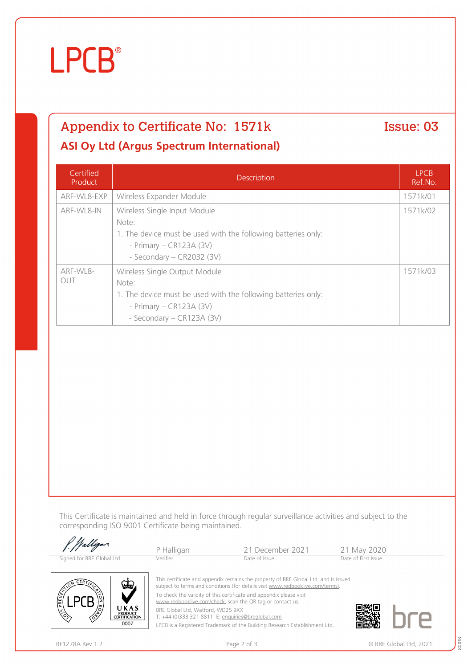# **LPCB**®

# Appendix to Certificate No: 1571k Issue: 03

### **ASI Oy Ltd (Argus Spectrum International)**

| Certified<br>Product | <b>Description</b>                                                                                                                                                | <b>LPCB</b><br>Ref.No. |
|----------------------|-------------------------------------------------------------------------------------------------------------------------------------------------------------------|------------------------|
| ARF-WL8-EXP          | Wireless Expander Module                                                                                                                                          | 1571k/01               |
| ARF-WL8-IN           | Wireless Single Input Module<br>Note:<br>1. The device must be used with the following batteries only:<br>- Primary $-$ CR123A (3V)<br>- Secondary - CR2032 (3V)  | 1571k/02               |
| ARF-WL8-<br>OUT      | Wireless Single Output Module<br>Note:<br>1. The device must be used with the following batteries only:<br>- Primary $-$ CR123A (3V)<br>- Secondary - CR123A (3V) | 1571k/03               |

This Certificate is maintained and held in force through regular surveillance activities and subject to the corresponding ISO 9001 Certificate being maintained.

| P. Walligan               | P Halligan | 21 December 2021                                                                                                                                                     | 21 May 2020         |  |
|---------------------------|------------|----------------------------------------------------------------------------------------------------------------------------------------------------------------------|---------------------|--|
| Signed for BRE Global Ltd | Verifier   | Date of Issue                                                                                                                                                        | Date of First Issue |  |
| GD.                       |            | This certificate and appendix remains the property of BRE Global Ltd. and is issued<br>subject to terms and conditions (for details visit www.redbooklive.com/terms) |                     |  |



subject to terms and conditions (for details visit [www.redbooklive.com/terms\)](http://www.redbooklive.com/terms)). To check the validity of this certificate and appendix please visit [www.redbooklive.com/check](http://www.redbooklive.com/check), scan the QR tag or contact us.

BRE Global Ltd, Watford, WD25 9XX

T: +44 (0)333 321 8811 E: [enquiries@breglobal.com](mailto:enquiries@breglobal.com)

LPCB is a Registered Trademark of the Building Research Establishment Ltd.

80018